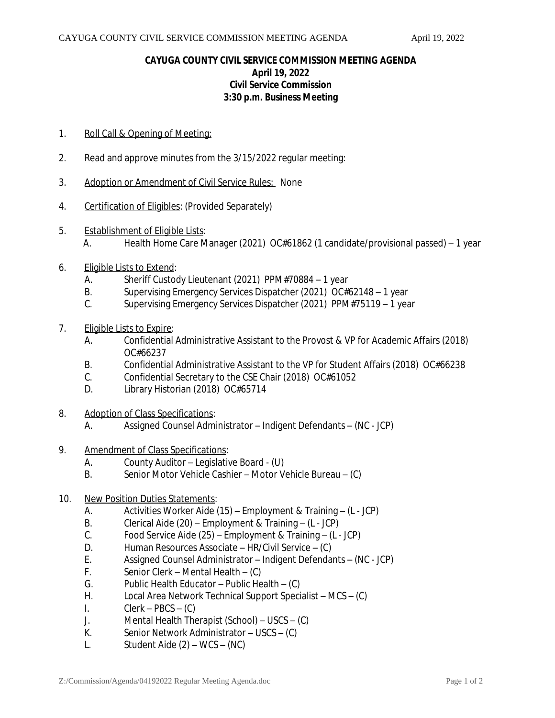## **CAYUGA COUNTY CIVIL SERVICE COMMISSION MEETING AGENDA April 19, 2022 Civil Service Commission 3:30 p.m. Business Meeting**

- 1. Roll Call & Opening of Meeting:
- 2. Read and approve minutes from the 3/15/2022 regular meeting:
- 3. Adoption or Amendment of Civil Service Rules: None
- 4. Certification of Eligibles: (Provided Separately)
- 5. Establishment of Eligible Lists:
	- A. Health Home Care Manager (2021) OC#61862 (1 candidate/provisional passed) 1 year
- 6. Eligible Lists to Extend:
	- A. Sheriff Custody Lieutenant (2021) PPM#70884 1 year<br>B. Supervising Emergency Services Dispatcher (2021) OC#
	- Supervising Emergency Services Dispatcher (2021) OC#62148 1 year
	- C. Supervising Emergency Services Dispatcher (2021) PPM#75119 1 year
- 7. Eligible Lists to Expire:
	- A. Confidential Administrative Assistant to the Provost & VP for Academic Affairs (2018) OC#66237
	- B. Confidential Administrative Assistant to the VP for Student Affairs (2018) OC#66238
	- C. Confidential Secretary to the CSE Chair (2018) OC#61052
	- D. Library Historian (2018) OC#65714
- 8. Adoption of Class Specifications:
	- A. Assigned Counsel Administrator Indigent Defendants (NC JCP)
- 9. Amendment of Class Specifications:
	- A. County Auditor Legislative Board (U)
	- B. Senior Motor Vehicle Cashier Motor Vehicle Bureau (C)
- 10. New Position Duties Statements:
	- A. Activities Worker Aide (15) Employment & Training (L JCP)
	- B. Clerical Aide (20) Employment & Training (L JCP)
	- C. Food Service Aide (25) Employment & Training (L JCP)
	- D. Human Resources Associate HR/Civil Service (C)<br>E. Assigned Counsel Administrator Indigent Defenda
	- E. Assigned Counsel Administrator Indigent Defendants (NC JCP)
	- F. Senior Clerk Mental Health (C)
	- G. Public Health Educator Public Health (C)
	- H. Local Area Network Technical Support Specialist MCS (C)
	- I. Clerk  $PBCS (C)$
	- J. Mental Health Therapist (School) USCS (C)
	- K. Senior Network Administrator USCS (C)
	- L. Student Aide (2) WCS (NC)